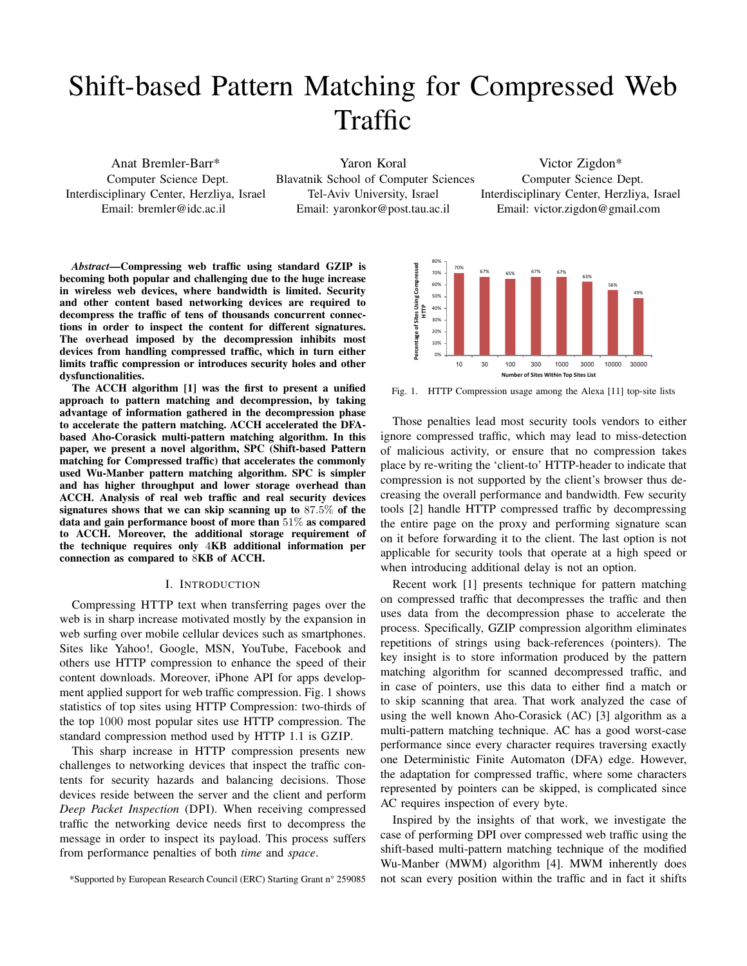# Shift-based Pattern Matching for Compressed Web Traffic

Anat Bremler-Barr\* Computer Science Dept. Interdisciplinary Center, Herzliya, Israel Email: bremler@idc.ac.il

Yaron Koral Blavatnik School of Computer Sciences Tel-Aviv University, Israel Email: yaronkor@post.tau.ac.il Victor Zigdon\* Computer Science Dept. Interdisciplinary Center, Herzliya, Israel Email: victor.zigdon@gmail.com

*Abstract*—Compressing web traffic using standard GZIP is becoming both popular and challenging due to the huge increase in wireless web devices, where bandwidth is limited. Security and other content based networking devices are required to decompress the traffic of tens of thousands concurrent connections in order to inspect the content for different signatures. The overhead imposed by the decompression inhibits most devices from handling compressed traffic, which in turn either limits traffic compression or introduces security holes and other dysfunctionalities.

The ACCH algorithm [1] was the first to present a unified approach to pattern matching and decompression, by taking advantage of information gathered in the decompression phase to accelerate the pattern matching. ACCH accelerated the DFAbased Aho-Corasick multi-pattern matching algorithm. In this paper, we present a novel algorithm, SPC (Shift-based Pattern matching for Compressed traffic) that accelerates the commonly used Wu-Manber pattern matching algorithm. SPC is simpler and has higher throughput and lower storage overhead than ACCH. Analysis of real web traffic and real security devices signatures shows that we can skip scanning up to 87*.*5% of the data and gain performance boost of more than 51% as compared to ACCH. Moreover, the additional storage requirement of the technique requires only 4KB additional information per connection as compared to 8KB of ACCH.

#### I. INTRODUCTION

Compressing HTTP text when transferring pages over the web is in sharp increase motivated mostly by the expansion in web surfing over mobile cellular devices such as smartphones. Sites like Yahoo!, Google, MSN, YouTube, Facebook and others use HTTP compression to enhance the speed of their content downloads. Moreover, iPhone API for apps development applied support for web traffic compression. Fig. 1 shows statistics of top sites using HTTP Compression: two-thirds of the top 1000 most popular sites use HTTP compression. The standard compression method used by HTTP 1.1 is GZIP.

This sharp increase in HTTP compression presents new challenges to networking devices that inspect the traffic contents for security hazards and balancing decisions. Those devices reside between the server and the client and perform *Deep Packet Inspection* (DPI). When receiving compressed traffic the networking device needs first to decompress the message in order to inspect its payload. This process suffers from performance penalties of both *time* and *space*.



Fig. 1. HTTP Compression usage among the Alexa [11] top-site lists

Those penalties lead most security tools vendors to either ignore compressed traffic, which may lead to miss-detection of malicious activity, or ensure that no compression takes place by re-writing the 'client-to' HTTP-header to indicate that compression is not supported by the client's browser thus decreasing the overall performance and bandwidth. Few security tools [2] handle HTTP compressed traffic by decompressing the entire page on the proxy and performing signature scan on it before forwarding it to the client. The last option is not applicable for security tools that operate at a high speed or when introducing additional delay is not an option.

Recent work [1] presents technique for pattern matching on compressed traffic that decompresses the traffic and then uses data from the decompression phase to accelerate the process. Specifically, GZIP compression algorithm eliminates repetitions of strings using back-references (pointers). The key insight is to store information produced by the pattern matching algorithm for scanned decompressed traffic, and in case of pointers, use this data to either find a match or to skip scanning that area. That work analyzed the case of using the well known Aho-Corasick (AC) [3] algorithm as a multi-pattern matching technique. AC has a good worst-case performance since every character requires traversing exactly one Deterministic Finite Automaton (DFA) edge. However, the adaptation for compressed traffic, where some characters represented by pointers can be skipped, is complicated since AC requires inspection of every byte.

Inspired by the insights of that work, we investigate the case of performing DPI over compressed web traffic using the shift-based multi-pattern matching technique of the modified Wu-Manber (MWM) algorithm [4]. MWM inherently does not scan every position within the traffic and in fact it shifts

<sup>\*</sup>Supported by European Research Council (ERC) Starting Grant n° 259085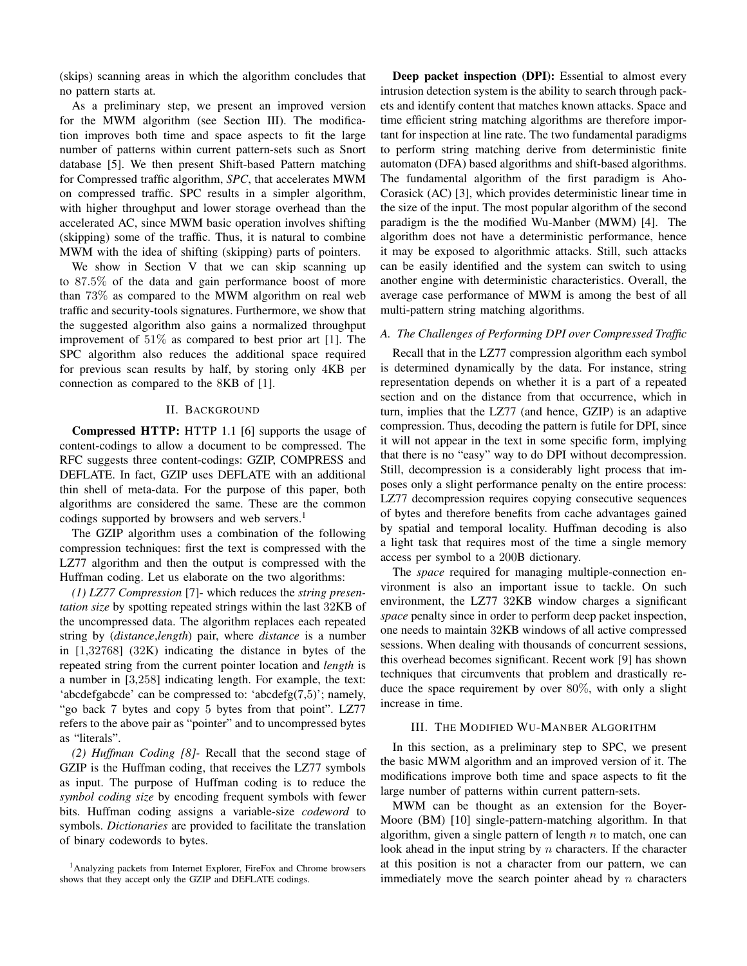(skips) scanning areas in which the algorithm concludes that no pattern starts at.

As a preliminary step, we present an improved version for the MWM algorithm (see Section III). The modification improves both time and space aspects to fit the large number of patterns within current pattern-sets such as Snort database [5]. We then present Shift-based Pattern matching for Compressed traffic algorithm, *SPC*, that accelerates MWM on compressed traffic. SPC results in a simpler algorithm, with higher throughput and lower storage overhead than the accelerated AC, since MWM basic operation involves shifting (skipping) some of the traffic. Thus, it is natural to combine MWM with the idea of shifting (skipping) parts of pointers.

We show in Section V that we can skip scanning up to 87*.*5% of the data and gain performance boost of more than 73% as compared to the MWM algorithm on real web traffic and security-tools signatures. Furthermore, we show that the suggested algorithm also gains a normalized throughput improvement of 51% as compared to best prior art [1]. The SPC algorithm also reduces the additional space required for previous scan results by half, by storing only 4KB per connection as compared to the 8KB of [1].

## II. BACKGROUND

Compressed HTTP: HTTP 1.1 [6] supports the usage of content-codings to allow a document to be compressed. The RFC suggests three content-codings: GZIP, COMPRESS and DEFLATE. In fact, GZIP uses DEFLATE with an additional thin shell of meta-data. For the purpose of this paper, both algorithms are considered the same. These are the common codings supported by browsers and web servers.<sup>1</sup>

The GZIP algorithm uses a combination of the following compression techniques: first the text is compressed with the LZ77 algorithm and then the output is compressed with the Huffman coding. Let us elaborate on the two algorithms:

*(1) LZ77 Compression* [7]- which reduces the *string presentation size* by spotting repeated strings within the last 32KB of the uncompressed data. The algorithm replaces each repeated string by (*distance*,*length*) pair, where *distance* is a number in [1,32768] (32K) indicating the distance in bytes of the repeated string from the current pointer location and *length* is a number in [3,258] indicating length. For example, the text: 'abcdefgabcde' can be compressed to: 'abcdefg(7,5)'; namely, "go back 7 bytes and copy 5 bytes from that point". LZ77 refers to the above pair as "pointer" and to uncompressed bytes as "literals".

*(2) Huffman Coding [8]-* Recall that the second stage of GZIP is the Huffman coding, that receives the LZ77 symbols as input. The purpose of Huffman coding is to reduce the *symbol coding size* by encoding frequent symbols with fewer bits. Huffman coding assigns a variable-size *codeword* to symbols. *Dictionaries* are provided to facilitate the translation of binary codewords to bytes.

Deep packet inspection (DPI): Essential to almost every intrusion detection system is the ability to search through packets and identify content that matches known attacks. Space and time efficient string matching algorithms are therefore important for inspection at line rate. The two fundamental paradigms to perform string matching derive from deterministic finite automaton (DFA) based algorithms and shift-based algorithms. The fundamental algorithm of the first paradigm is Aho-Corasick (AC) [3], which provides deterministic linear time in the size of the input. The most popular algorithm of the second paradigm is the the modified Wu-Manber (MWM) [4]. The algorithm does not have a deterministic performance, hence it may be exposed to algorithmic attacks. Still, such attacks can be easily identified and the system can switch to using another engine with deterministic characteristics. Overall, the average case performance of MWM is among the best of all multi-pattern string matching algorithms.

# *A. The Challenges of Performing DPI over Compressed Traffic*

Recall that in the LZ77 compression algorithm each symbol is determined dynamically by the data. For instance, string representation depends on whether it is a part of a repeated section and on the distance from that occurrence, which in turn, implies that the LZ77 (and hence, GZIP) is an adaptive compression. Thus, decoding the pattern is futile for DPI, since it will not appear in the text in some specific form, implying that there is no "easy" way to do DPI without decompression. Still, decompression is a considerably light process that imposes only a slight performance penalty on the entire process: LZ77 decompression requires copying consecutive sequences of bytes and therefore benefits from cache advantages gained by spatial and temporal locality. Huffman decoding is also a light task that requires most of the time a single memory access per symbol to a 200B dictionary.

The *space* required for managing multiple-connection environment is also an important issue to tackle. On such environment, the LZ77 32KB window charges a significant *space* penalty since in order to perform deep packet inspection, one needs to maintain 32KB windows of all active compressed sessions. When dealing with thousands of concurrent sessions, this overhead becomes significant. Recent work [9] has shown techniques that circumvents that problem and drastically reduce the space requirement by over 80%, with only a slight increase in time.

## III. THE MODIFIED WU-MANBER ALGORITHM

In this section, as a preliminary step to SPC, we present the basic MWM algorithm and an improved version of it. The modifications improve both time and space aspects to fit the large number of patterns within current pattern-sets.

MWM can be thought as an extension for the Boyer-Moore (BM) [10] single-pattern-matching algorithm. In that algorithm, given a single pattern of length *n* to match, one can look ahead in the input string by *n* characters. If the character at this position is not a character from our pattern, we can immediately move the search pointer ahead by *n* characters

<sup>&</sup>lt;sup>1</sup>Analyzing packets from Internet Explorer, FireFox and Chrome browsers shows that they accept only the GZIP and DEFLATE codings.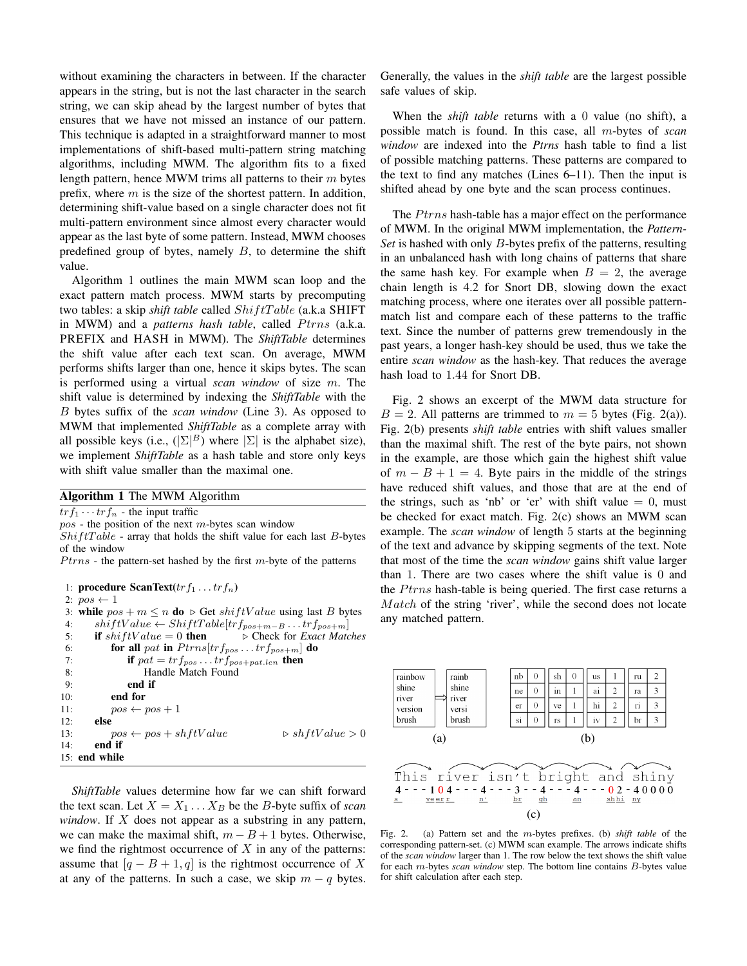without examining the characters in between. If the character appears in the string, but is not the last character in the search string, we can skip ahead by the largest number of bytes that ensures that we have not missed an instance of our pattern. This technique is adapted in a straightforward manner to most implementations of shift-based multi-pattern string matching algorithms, including MWM. The algorithm fits to a fixed length pattern, hence MWM trims all patterns to their *m* bytes prefix, where *m* is the size of the shortest pattern. In addition, determining shift-value based on a single character does not fit multi-pattern environment since almost every character would appear as the last byte of some pattern. Instead, MWM chooses predefined group of bytes, namely *B*, to determine the shift value.

Algorithm 1 outlines the main MWM scan loop and the exact pattern match process. MWM starts by precomputing two tables: a skip *shift table* called *Shif tT able* (a.k.a SHIFT in MWM) and a *patterns hash table*, called *Ptrns* (a.k.a. PREFIX and HASH in MWM). The *ShiftTable* determines the shift value after each text scan. On average, MWM performs shifts larger than one, hence it skips bytes. The scan is performed using a virtual *scan window* of size *m*. The shift value is determined by indexing the *ShiftTable* with the *B* bytes suffix of the *scan window* (Line 3). As opposed to MWM that implemented *ShiftTable* as a complete array with all possible keys (i.e.,  $(|\Sigma|^B)$  where  $|\Sigma|$  is the alphabet size), we implement *ShiftTable* as a hash table and store only keys with shift value smaller than the maximal one.

# Algorithm 1 The MWM Algorithm

 $tr f_1 \cdots tr f_n$  - the input traffic

*pos* - the position of the next *m*-bytes scan window

*Shif tT able* - array that holds the shift value for each last *B*-bytes of the window

*Ptrns* - the pattern-set hashed by the first *m*-byte of the patterns

```
1: procedure ScanText(trf_1 \ldots trf_n)
 2: pos \leftarrow 13: while pos + m \le n do \triangleright Get shiftValue using last B bytes 4: shiftValue \leftarrow ShiftTable[tr_{nos+m-R...}tr_{nos+m}]4: shiftValue \leftarrow ShiftTable[trf_{pos+m-B} \dots trf_{pos+m}]<br>5: if shiftValue = 0 then \triangleright Check for Exact Matc
                                                     5: if shif tV alue = 0 then ◃ Check for Exact Matches
 6: for all pat in Ptrns[tr f_{pos}...trf<sub>pos+m] do</sub>
 7: if pat = tr f_{pos} \dots tr f_{pos + pat.length} then
 8: Handle Match Found
 9: end if
10: end for
11: pos \leftarrow pos + 1<br>12: else
          else
13: pos \leftarrow pos + shftValue \triangleright shftValue > 0<br>14: end if
          end if
15: end while
```
*ShiftTable* values determine how far we can shift forward the text scan. Let  $X = X_1 \dots X_B$  be the *B*-byte suffix of *scan window*. If *X* does not appear as a substring in any pattern, we can make the maximal shift,  $m - B + 1$  bytes. Otherwise, we find the rightmost occurrence of *X* in any of the patterns: assume that  $[q - B + 1, q]$  is the rightmost occurrence of X at any of the patterns. In such a case, we skip  $m - q$  bytes. Generally, the values in the *shift table* are the largest possible safe values of skip.

When the *shift table* returns with a 0 value (no shift), a possible match is found. In this case, all *m*-bytes of *scan window* are indexed into the *Ptrns* hash table to find a list of possible matching patterns. These patterns are compared to the text to find any matches (Lines 6–11). Then the input is shifted ahead by one byte and the scan process continues.

The *Ptrns* hash-table has a major effect on the performance of MWM. In the original MWM implementation, the *Pattern-Set* is hashed with only *B*-bytes prefix of the patterns, resulting in an unbalanced hash with long chains of patterns that share the same hash key. For example when  $B = 2$ , the average chain length is 4.2 for Snort DB, slowing down the exact matching process, where one iterates over all possible patternmatch list and compare each of these patterns to the traffic text. Since the number of patterns grew tremendously in the past years, a longer hash-key should be used, thus we take the entire *scan window* as the hash-key. That reduces the average hash load to 1*.*44 for Snort DB.

Fig. 2 shows an excerpt of the MWM data structure for  $B = 2$ . All patterns are trimmed to  $m = 5$  bytes (Fig. 2(a)). Fig. 2(b) presents *shift table* entries with shift values smaller than the maximal shift. The rest of the byte pairs, not shown in the example, are those which gain the highest shift value of  $m - B + 1 = 4$ . Byte pairs in the middle of the strings have reduced shift values, and those that are at the end of the strings, such as 'nb' or 'er' with shift value  $= 0$ , must be checked for exact match. Fig. 2(c) shows an MWM scan example. The *scan window* of length 5 starts at the beginning of the text and advance by skipping segments of the text. Note that most of the time the *scan window* gains shift value larger than 1. There are two cases where the shift value is 0 and the *Ptrns* hash-table is being queried. The first case returns a *Match* of the string 'river', while the second does not locate any matched pattern.



Fig. 2. (a) Pattern set and the *m*-bytes prefixes. (b) *shift table* of the corresponding pattern-set. (c) MWM scan example. The arrows indicate shifts of the *scan window* larger than 1. The row below the text shows the shift value for each *m*-bytes *scan window* step. The bottom line contains *B*-bytes value for shift calculation after each step.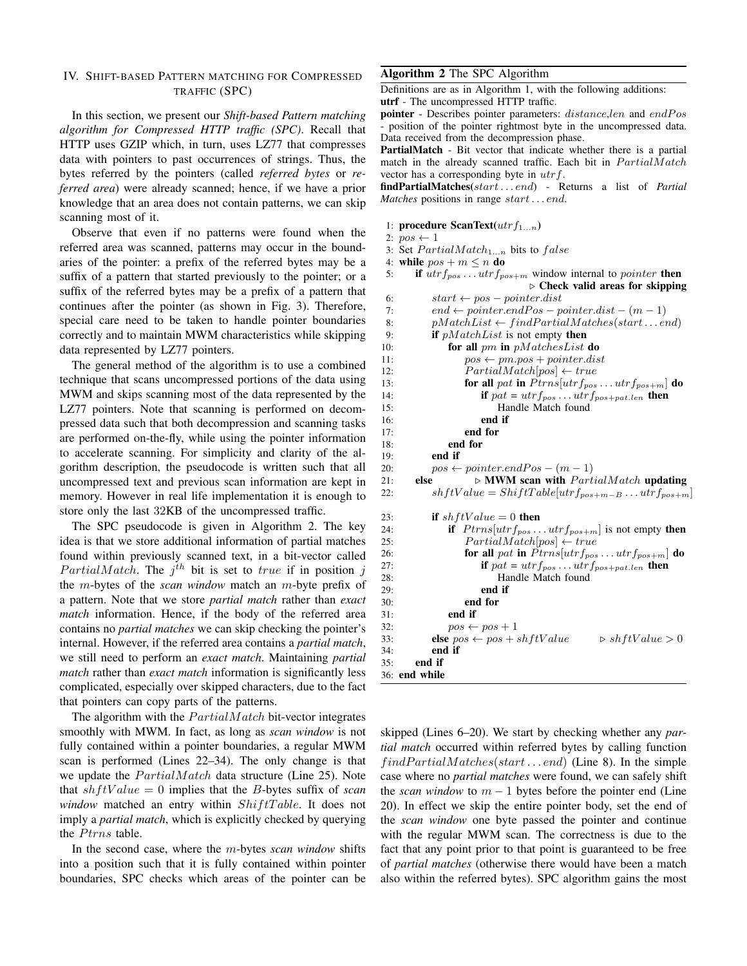# IV. SHIFT-BASED PATTERN MATCHING FOR COMPRESSED TRAFFIC (SPC)

In this section, we present our *Shift-based Pattern matching algorithm for Compressed HTTP traffic (SPC)*. Recall that HTTP uses GZIP which, in turn, uses LZ77 that compresses data with pointers to past occurrences of strings. Thus, the bytes referred by the pointers (called *referred bytes* or *referred area*) were already scanned; hence, if we have a prior knowledge that an area does not contain patterns, we can skip scanning most of it.

Observe that even if no patterns were found when the referred area was scanned, patterns may occur in the boundaries of the pointer: a prefix of the referred bytes may be a suffix of a pattern that started previously to the pointer; or a suffix of the referred bytes may be a prefix of a pattern that continues after the pointer (as shown in Fig. 3). Therefore, special care need to be taken to handle pointer boundaries correctly and to maintain MWM characteristics while skipping data represented by LZ77 pointers.

The general method of the algorithm is to use a combined technique that scans uncompressed portions of the data using MWM and skips scanning most of the data represented by the LZ77 pointers. Note that scanning is performed on decompressed data such that both decompression and scanning tasks are performed on-the-fly, while using the pointer information to accelerate scanning. For simplicity and clarity of the algorithm description, the pseudocode is written such that all uncompressed text and previous scan information are kept in memory. However in real life implementation it is enough to store only the last 32KB of the uncompressed traffic.

The SPC pseudocode is given in Algorithm 2. The key idea is that we store additional information of partial matches found within previously scanned text, in a bit-vector called *PartialMatch*. The  $j^{th}$  bit is set to *true* if in position  $j$ the *m*-bytes of the *scan window* match an *m*-byte prefix of a pattern. Note that we store *partial match* rather than *exact match* information. Hence, if the body of the referred area contains no *partial matches* we can skip checking the pointer's internal. However, if the referred area contains a *partial match*, we still need to perform an *exact match*. Maintaining *partial match* rather than *exact match* information is significantly less complicated, especially over skipped characters, due to the fact that pointers can copy parts of the patterns.

The algorithm with the *PartialMatch* bit-vector integrates smoothly with MWM. In fact, as long as *scan window* is not fully contained within a pointer boundaries, a regular MWM scan is performed (Lines 22–34). The only change is that we update the *PartialMatch* data structure (Line 25). Note that  $shftValue = 0$  implies that the *B*-bytes suffix of *scan window* matched an entry within *ShiftTable*. It does not imply a *partial match*, which is explicitly checked by querying the *Ptrns* table.

In the second case, where the *m*-bytes *scan window* shifts into a position such that it is fully contained within pointer boundaries, SPC checks which areas of the pointer can be

## Algorithm 2 The SPC Algorithm

Definitions are as in Algorithm 1, with the following additions: utrf - The uncompressed HTTP traffic.

pointer - Describes pointer parameters:  $distance, len$  and  $endPos$ position of the pointer rightmost byte in the uncompressed data. Data received from the decompression phase.

PartialMatch - Bit vector that indicate whether there is a partial match in the already scanned traffic. Each bit in  $PartialMatch$ vector has a corresponding byte in *utrf*.

findPartialMatches(*start . . . end*) - Returns a list of *Partial Matches* positions in range *start . . . end*.

- 1: procedure ScanText(*utrf*1*...n*)
- 2:  $pos \leftarrow 1$
- 3: Set *P artialMatch*1*...n* bits to *false*
- 4: **while**  $pos + m \leq n$  **do**<br>5: **if**  $utr$   $f_{nos} \dots utr$   $f_{no}$ 
	- 5: if *utrfpos . . . utrfpos*+*<sup>m</sup>* window internal to *pointer* then *◃* Check valid areas for skipping

| 6:  | $start \leftarrow pos - pointer_dist$                                           |  |  |  |  |  |
|-----|---------------------------------------------------------------------------------|--|--|--|--|--|
| 7:  | $end \leftarrow pointer.endPos - pointer.dist - (m-1)$                          |  |  |  |  |  |
| 8:  | $pMatchList \leftarrow findPartialMatches(startend)$                            |  |  |  |  |  |
| 9:  | if $pMatchList$ is not empty then                                               |  |  |  |  |  |
| 10: | for all $pm$ in $pMatchesList$ do                                               |  |  |  |  |  |
| 11: | $pos \leftarrow pm.pop + pointer_dist$                                          |  |  |  |  |  |
| 12: | $PartialMatch   pos  \leftarrow true$                                           |  |  |  |  |  |
| 13: | for all pat in $Ptrns[utf_{pos} \dots utrf_{pos+m}]$ do                         |  |  |  |  |  |
| 14: | if $pat = utrf_{pos} \ldots utrf_{pos+pat.length}$ then                         |  |  |  |  |  |
| 15: | Handle Match found                                                              |  |  |  |  |  |
| 16: | end if                                                                          |  |  |  |  |  |
| 17: | end for                                                                         |  |  |  |  |  |
| 18: | end for                                                                         |  |  |  |  |  |
| 19: | end if                                                                          |  |  |  |  |  |
| 20: | $pos \leftarrow pointer.endPos - (m-1)$                                         |  |  |  |  |  |
| 21: | else<br>$\triangleright$ MWM scan with $PartialMatch$ updating                  |  |  |  |  |  |
| 22: | $shftValue = ShiftTable[utf_{pos+m-B}  utf_{pos+m}]$                            |  |  |  |  |  |
| 23: | if $shftValue = 0$ then                                                         |  |  |  |  |  |
| 24: | if $Ptrns[utf_{pos} \dots utr f_{pos+m}]$ is not empty then                     |  |  |  |  |  |
| 25: | $PartialMatch[pos] \leftarrow true$                                             |  |  |  |  |  |
| 26: | for all pat in $Ptrns[utf_{pos} \dots utrf_{pos+m}]$ do                         |  |  |  |  |  |
| 27: | if $pat = utrf_{pos} \ldots utrf_{pos + pat.length}$ then                       |  |  |  |  |  |
| 28: | Handle Match found                                                              |  |  |  |  |  |
| 29: | end if                                                                          |  |  |  |  |  |
| 30: | end for                                                                         |  |  |  |  |  |
| 31: | end if                                                                          |  |  |  |  |  |
| 32: | $pos \leftarrow pos + 1$                                                        |  |  |  |  |  |
| 33: | $\triangleright$ shftValue $>0$<br><b>else</b> $pos \leftarrow pos + shftValue$ |  |  |  |  |  |
| 34: | end if                                                                          |  |  |  |  |  |
| 35: | end if                                                                          |  |  |  |  |  |
|     | 36: end while                                                                   |  |  |  |  |  |

skipped (Lines 6–20). We start by checking whether any *partial match* occurred within referred bytes by calling function *f indP artialM atches*(*start . . . end*) (Line 8). In the simple case where no *partial matches* were found, we can safely shift the *scan window* to  $m - 1$  bytes before the pointer end (Line 20). In effect we skip the entire pointer body, set the end of the *scan window* one byte passed the pointer and continue with the regular MWM scan. The correctness is due to the fact that any point prior to that point is guaranteed to be free of *partial matches* (otherwise there would have been a match also within the referred bytes). SPC algorithm gains the most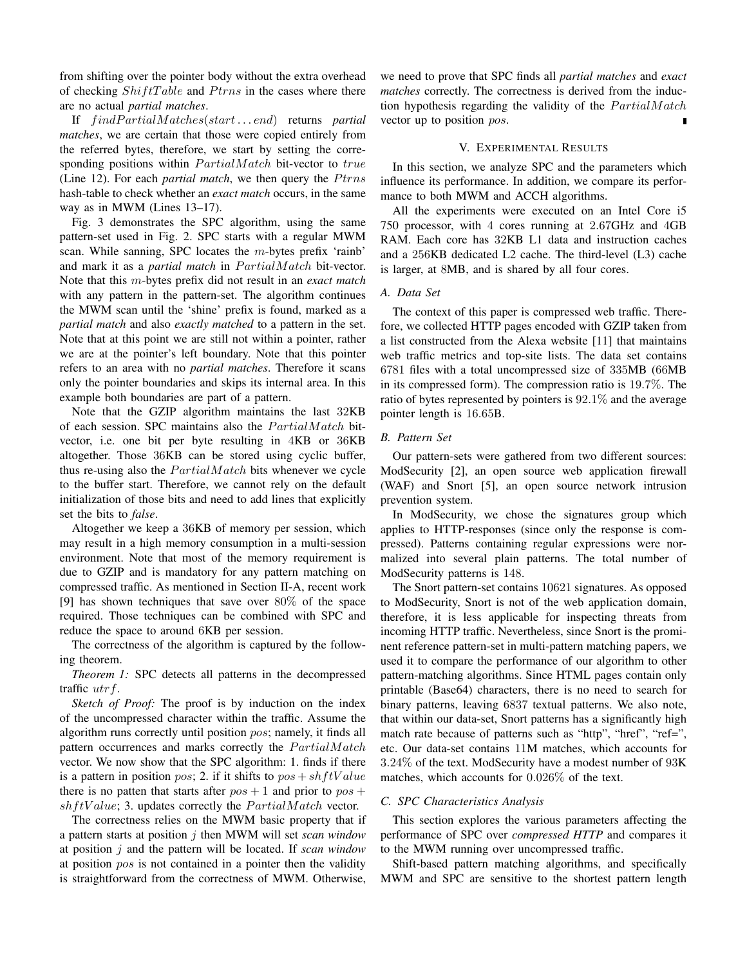from shifting over the pointer body without the extra overhead of checking *ShiftTable* and *Ptrns* in the cases where there are no actual *partial matches*.

If *f indP artialM atches*(*start . . . end*) returns *partial matches*, we are certain that those were copied entirely from the referred bytes, therefore, we start by setting the corresponding positions within *PartialMatch* bit-vector to *true* (Line 12). For each *partial match*, we then query the *Ptrns* hash-table to check whether an *exact match* occurs, in the same way as in MWM (Lines 13–17).

Fig. 3 demonstrates the SPC algorithm, using the same pattern-set used in Fig. 2. SPC starts with a regular MWM scan. While sanning, SPC locates the *m*-bytes prefix 'rainb' and mark it as a *partial match* in  $Partial Match$  bit-vector. Note that this *m*-bytes prefix did not result in an *exact match* with any pattern in the pattern-set. The algorithm continues the MWM scan until the 'shine' prefix is found, marked as a *partial match* and also *exactly matched* to a pattern in the set. Note that at this point we are still not within a pointer, rather we are at the pointer's left boundary. Note that this pointer refers to an area with no *partial matches*. Therefore it scans only the pointer boundaries and skips its internal area. In this example both boundaries are part of a pattern.

Note that the GZIP algorithm maintains the last 32KB of each session. SPC maintains also the *P artialM atch* bitvector, i.e. one bit per byte resulting in 4KB or 36KB altogether. Those 36KB can be stored using cyclic buffer, thus re-using also the *PartialMatch* bits whenever we cycle to the buffer start. Therefore, we cannot rely on the default initialization of those bits and need to add lines that explicitly set the bits to *false*.

Altogether we keep a 36KB of memory per session, which may result in a high memory consumption in a multi-session environment. Note that most of the memory requirement is due to GZIP and is mandatory for any pattern matching on compressed traffic. As mentioned in Section II-A, recent work [9] has shown techniques that save over 80% of the space required. Those techniques can be combined with SPC and reduce the space to around 6KB per session.

The correctness of the algorithm is captured by the following theorem.

*Theorem 1:* SPC detects all patterns in the decompressed traffic *utrf*.

*Sketch of Proof:* The proof is by induction on the index of the uncompressed character within the traffic. Assume the algorithm runs correctly until position *pos*; namely, it finds all pattern occurrences and marks correctly the *PartialMatch* vector. We now show that the SPC algorithm: 1. finds if there is a pattern in position *pos*; 2. if it shifts to  $pos + shftValue$ there is no patten that starts after  $pos + 1$  and prior to  $pos + 1$ *shftValue*; 3. updates correctly the *PartialMatch* vector.

The correctness relies on the MWM basic property that if a pattern starts at position *j* then MWM will set *scan window* at position *j* and the pattern will be located. If *scan window* at position *pos* is not contained in a pointer then the validity is straightforward from the correctness of MWM. Otherwise,

we need to prove that SPC finds all *partial matches* and *exact matches* correctly. The correctness is derived from the induction hypothesis regarding the validity of the  $Partial Match$ vector up to position *pos*.

## V. EXPERIMENTAL RESULTS

In this section, we analyze SPC and the parameters which influence its performance. In addition, we compare its performance to both MWM and ACCH algorithms.

All the experiments were executed on an Intel Core i5 750 processor, with 4 cores running at 2*.*67GHz and 4GB RAM. Each core has 32KB L1 data and instruction caches and a 256KB dedicated L2 cache. The third-level (L3) cache is larger, at 8MB, and is shared by all four cores.

# *A. Data Set*

The context of this paper is compressed web traffic. Therefore, we collected HTTP pages encoded with GZIP taken from a list constructed from the Alexa website [11] that maintains web traffic metrics and top-site lists. The data set contains 6781 files with a total uncompressed size of 335MB (66MB in its compressed form). The compression ratio is 19*.*7%. The ratio of bytes represented by pointers is 92*.*1% and the average pointer length is 16*.*65B.

### *B. Pattern Set*

Our pattern-sets were gathered from two different sources: ModSecurity [2], an open source web application firewall (WAF) and Snort [5], an open source network intrusion prevention system.

In ModSecurity, we chose the signatures group which applies to HTTP-responses (since only the response is compressed). Patterns containing regular expressions were normalized into several plain patterns. The total number of ModSecurity patterns is 148.

The Snort pattern-set contains 10621 signatures. As opposed to ModSecurity, Snort is not of the web application domain, therefore, it is less applicable for inspecting threats from incoming HTTP traffic. Nevertheless, since Snort is the prominent reference pattern-set in multi-pattern matching papers, we used it to compare the performance of our algorithm to other pattern-matching algorithms. Since HTML pages contain only printable (Base64) characters, there is no need to search for binary patterns, leaving 6837 textual patterns. We also note, that within our data-set, Snort patterns has a significantly high match rate because of patterns such as "http", "href", "ref=", etc. Our data-set contains 11M matches, which accounts for 3*.*24% of the text. ModSecurity have a modest number of 93K matches, which accounts for 0*.*026% of the text.

## *C. SPC Characteristics Analysis*

This section explores the various parameters affecting the performance of SPC over *compressed HTTP* and compares it to the MWM running over uncompressed traffic.

Shift-based pattern matching algorithms, and specifically MWM and SPC are sensitive to the shortest pattern length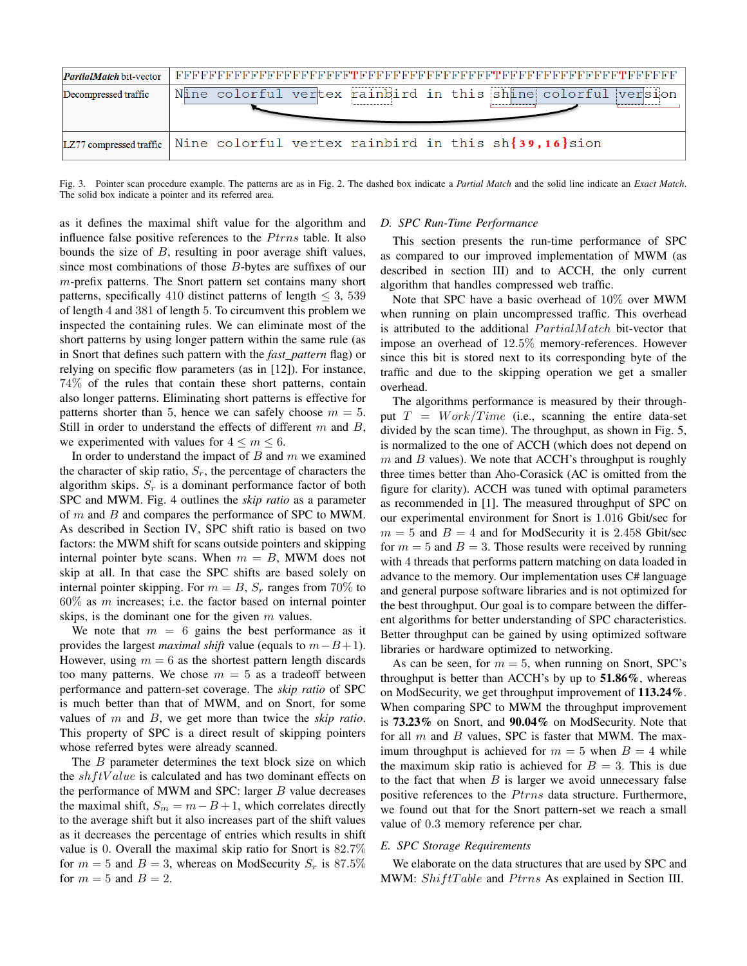| <b><i>PartialMatch</i></b> bit-vector |                                                                                 |
|---------------------------------------|---------------------------------------------------------------------------------|
| Decompressed traffic                  | Nine colorful vertex rainbird in this shine colorful version                    |
|                                       | LZ77 compressed traffic Nine colorful vertex rainbird in this $sh$ {39,16} sion |

Fig. 3. Pointer scan procedure example. The patterns are as in Fig. 2. The dashed box indicate a *Partial Match* and the solid line indicate an *Exact Match*. The solid box indicate a pointer and its referred area.

as it defines the maximal shift value for the algorithm and influence false positive references to the *P*trns table. It also bounds the size of *B*, resulting in poor average shift values, since most combinations of those *B*-bytes are suffixes of our *m*-prefix patterns. The Snort pattern set contains many short patterns, specifically 410 distinct patterns of length *≤* 3, 539 of length 4 and 381 of length 5. To circumvent this problem we inspected the containing rules. We can eliminate most of the short patterns by using longer pattern within the same rule (as in Snort that defines such pattern with the *fast pattern* flag) or relying on specific flow parameters (as in [12]). For instance, 74% of the rules that contain these short patterns, contain also longer patterns. Eliminating short patterns is effective for patterns shorter than 5, hence we can safely choose  $m = 5$ . Still in order to understand the effects of different *m* and *B*, we experimented with values for  $4 \le m \le 6$ .

In order to understand the impact of *B* and *m* we examined the character of skip ratio,  $S_r$ , the percentage of characters the algorithm skips.  $S_r$  is a dominant performance factor of both SPC and MWM. Fig. 4 outlines the *skip ratio* as a parameter of *m* and *B* and compares the performance of SPC to MWM. As described in Section IV, SPC shift ratio is based on two factors: the MWM shift for scans outside pointers and skipping internal pointer byte scans. When  $m = B$ , MWM does not skip at all. In that case the SPC shifts are based solely on internal pointer skipping. For  $m = B$ ,  $S_r$  ranges from 70% to 60% as *m* increases; i.e. the factor based on internal pointer skips, is the dominant one for the given *m* values.

We note that  $m = 6$  gains the best performance as it provides the largest *maximal shift* value (equals to *m−B*+1). However, using  $m = 6$  as the shortest pattern length discards too many patterns. We chose  $m = 5$  as a tradeoff between performance and pattern-set coverage. The *skip ratio* of SPC is much better than that of MWM, and on Snort, for some values of *m* and *B*, we get more than twice the *skip ratio*. This property of SPC is a direct result of skipping pointers whose referred bytes were already scanned.

The *B* parameter determines the text block size on which the *shf tV alue* is calculated and has two dominant effects on the performance of MWM and SPC: larger *B* value decreases the maximal shift,  $S_m = m - B + 1$ , which correlates directly to the average shift but it also increases part of the shift values as it decreases the percentage of entries which results in shift value is 0. Overall the maximal skip ratio for Snort is 82*.*7% for  $m = 5$  and  $B = 3$ , whereas on ModSecurity  $S_r$  is 87.5% for  $m = 5$  and  $B = 2$ .

# *D. SPC Run-Time Performance*

This section presents the run-time performance of SPC as compared to our improved implementation of MWM (as described in section III) and to ACCH, the only current algorithm that handles compressed web traffic.

Note that SPC have a basic overhead of 10% over MWM when running on plain uncompressed traffic. This overhead is attributed to the additional *PartialMatch* bit-vector that impose an overhead of 12*.*5% memory-references. However since this bit is stored next to its corresponding byte of the traffic and due to the skipping operation we get a smaller overhead.

The algorithms performance is measured by their throughput  $T = Work/Time$  (i.e., scanning the entire data-set divided by the scan time). The throughput, as shown in Fig. 5, is normalized to the one of ACCH (which does not depend on *m* and *B* values). We note that ACCH's throughput is roughly three times better than Aho-Corasick (AC is omitted from the figure for clarity). ACCH was tuned with optimal parameters as recommended in [1]. The measured throughput of SPC on our experimental environment for Snort is 1*.*016 Gbit/sec for  $m = 5$  and  $B = 4$  and for ModSecurity it is 2.458 Gbit/sec for  $m = 5$  and  $B = 3$ . Those results were received by running with 4 threads that performs pattern matching on data loaded in advance to the memory. Our implementation uses C# language and general purpose software libraries and is not optimized for the best throughput. Our goal is to compare between the different algorithms for better understanding of SPC characteristics. Better throughput can be gained by using optimized software libraries or hardware optimized to networking.

As can be seen, for  $m = 5$ , when running on Snort, SPC's throughput is better than ACCH's by up to  $51.86\%$ , whereas on ModSecurity, we get throughput improvement of 113.24%. When comparing SPC to MWM the throughput improvement is 73.23% on Snort, and 90.04% on ModSecurity. Note that for all *m* and *B* values, SPC is faster that MWM. The maximum throughput is achieved for  $m = 5$  when  $B = 4$  while the maximum skip ratio is achieved for  $B = 3$ . This is due to the fact that when *B* is larger we avoid unnecessary false positive references to the *Ptrns* data structure. Furthermore, we found out that for the Snort pattern-set we reach a small value of 0*.*3 memory reference per char.

#### *E. SPC Storage Requirements*

We elaborate on the data structures that are used by SPC and MWM:  $ShiftTable$  and  $Ptrns$  As explained in Section III.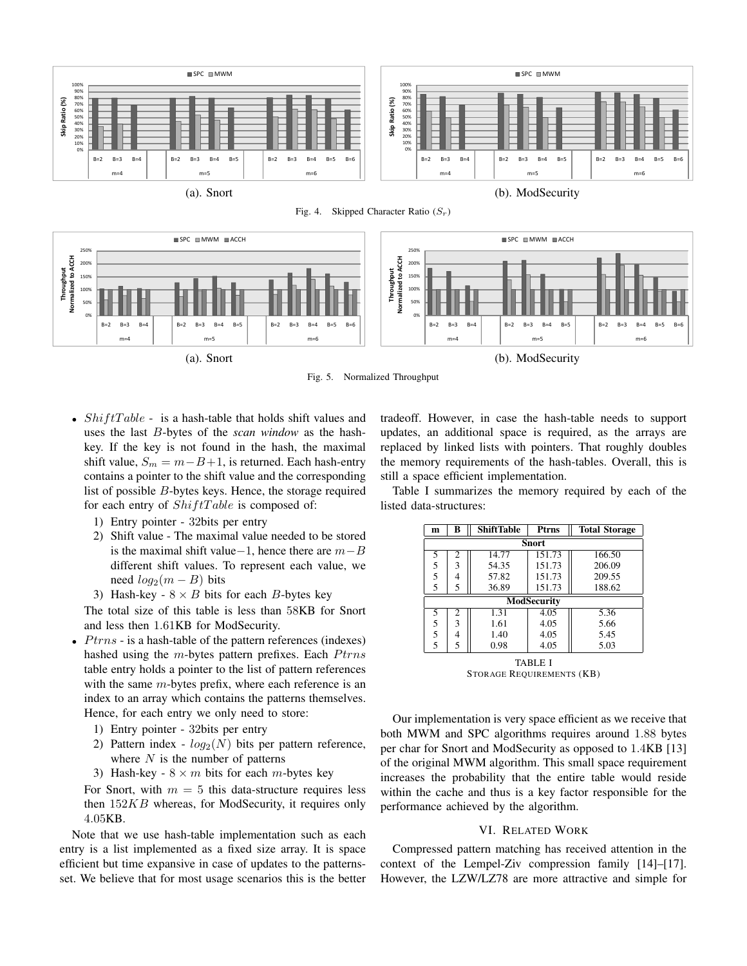

Fig. 4. Skipped Character Ratio (*Sr*)



Fig. 5. Normalized Throughput

- *ShiftTable* is a hash-table that holds shift values and uses the last *B*-bytes of the *scan window* as the hashkey. If the key is not found in the hash, the maximal shift value,  $S_m = m - B + 1$ , is returned. Each hash-entry contains a pointer to the shift value and the corresponding list of possible *B*-bytes keys. Hence, the storage required for each entry of  $ShiftTable$  is composed of:
	- 1) Entry pointer 32bits per entry
	- 2) Shift value The maximal value needed to be stored is the maximal shift value*−*1, hence there are *m−B* different shift values. To represent each value, we need  $log_2(m - B)$  bits
	- 3) Hash-key  $8 \times B$  bits for each *B*-bytes key

The total size of this table is less than 58KB for Snort and less then 1*.*61KB for ModSecurity.

- *Ptrns* is a hash-table of the pattern references (indexes) hashed using the *m*-bytes pattern prefixes. Each *Ptrns* table entry holds a pointer to the list of pattern references with the same *m*-bytes prefix, where each reference is an index to an array which contains the patterns themselves. Hence, for each entry we only need to store:
	- 1) Entry pointer 32bits per entry
	- 2) Pattern index  $log_2(N)$  bits per pattern reference, where *N* is the number of patterns
	- 3) Hash-key  $8 \times m$  bits for each *m*-bytes key

For Snort, with  $m = 5$  this data-structure requires less then 152*KB* whereas, for ModSecurity, it requires only 4*.*05KB.

Note that we use hash-table implementation such as each entry is a list implemented as a fixed size array. It is space efficient but time expansive in case of updates to the patternsset. We believe that for most usage scenarios this is the better tradeoff. However, in case the hash-table needs to support updates, an additional space is required, as the arrays are replaced by linked lists with pointers. That roughly doubles the memory requirements of the hash-tables. Overall, this is still a space efficient implementation.

Table I summarizes the memory required by each of the listed data-structures:

| m                                          | в | <b>ShiftTable</b> | Ptrns  | <b>Total Storage</b> |  |  |
|--------------------------------------------|---|-------------------|--------|----------------------|--|--|
| <b>Snort</b>                               |   |                   |        |                      |  |  |
| 5                                          | 2 | 14.77             | 151.73 | 166.50               |  |  |
|                                            | 3 | 54.35             | 151.73 | 206.09               |  |  |
| $\begin{array}{c} 5 \\ 5 \\ 5 \end{array}$ | 4 | 57.82             | 151.73 | 209.55               |  |  |
|                                            | 5 | 36.89             | 151.73 | 188.62               |  |  |
| ModSecurity                                |   |                   |        |                      |  |  |
| 5                                          | 2 | 1.31              | 4.05   | 5.36                 |  |  |
| $\begin{array}{c} 5 \\ 5 \\ 5 \end{array}$ | 3 | 1.61              | 4.05   | 5.66                 |  |  |
|                                            | 4 | 1.40              | 4.05   | 5.45                 |  |  |
|                                            | 5 | 0.98              | 4.05   | 5.03                 |  |  |
| TABLE I                                    |   |                   |        |                      |  |  |

STORAGE REQUIREMENTS (KB)

Our implementation is very space efficient as we receive that both MWM and SPC algorithms requires around 1*.*88 bytes per char for Snort and ModSecurity as opposed to 1*.*4KB [13] of the original MWM algorithm. This small space requirement increases the probability that the entire table would reside within the cache and thus is a key factor responsible for the performance achieved by the algorithm.

## VI. RELATED WORK

Compressed pattern matching has received attention in the context of the Lempel-Ziv compression family [14]–[17]. However, the LZW/LZ78 are more attractive and simple for